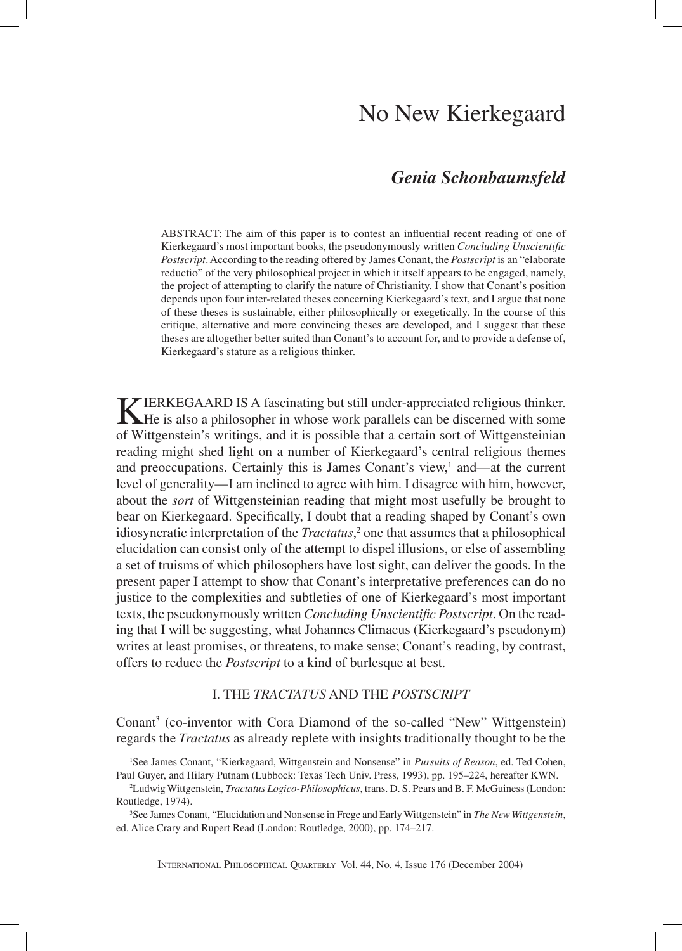# No New Kierkegaard

# *Genia Schonbaumsfeld*

ABSTRACT: The aim of this paper is to contest an influential recent reading of one of Kierkegaard's most important books, the pseudonymously written *Concluding Unscientific Postscript*. According to the reading offered by James Conant, the *Postscript* is an "elaborate reductio" of the very philosophical project in which it itself appears to be engaged, namely, the project of attempting to clarify the nature of Christianity. I show that Conant's position depends upon four inter-related theses concerning Kierkegaard's text, and I argue that none of these theses is sustainable, either philosophically or exegetically. In the course of this critique, alternative and more convincing theses are developed, and I suggest that these theses are altogether better suited than Conant's to account for, and to provide a defense of, Kierkegaard's stature as a religious thinker.

KIERKEGAARD IS A fascinating but still under-appreciated religious thinker. He is also a philosopher in whose work parallels can be discerned with some of Wittgenstein's writings, and it is possible that a certain sort of Wittgensteinian reading might shed light on a number of Kierkegaard's central religious themes and preoccupations. Certainly this is James Conant's view,<sup>1</sup> and—at the current level of generality—I am inclined to agree with him. I disagree with him, however, about the *sort* of Wittgensteinian reading that might most usefully be brought to bear on Kierkegaard. Specifically, I doubt that a reading shaped by Conant's own idiosyncratic interpretation of the *Tractatus*, 2 one that assumes that a philosophical elucidation can consist only of the attempt to dispel illusions, or else of assembling a set of truisms of which philosophers have lost sight, can deliver the goods. In the present paper I attempt to show that Conant's interpretative preferences can do no justice to the complexities and subtleties of one of Kierkegaard's most important texts, the pseudonymously written *Concluding Unscientific Postscript*. On the reading that I will be suggesting, what Johannes Climacus (Kierkegaard's pseudonym) writes at least promises, or threatens, to make sense; Conant's reading, by contrast, offers to reduce the *Postscript* to a kind of burlesque at best.

# I. THE *TRACTATUS* AND THE *POSTSCRIPT*

Conant<sup>3</sup> (co-inventor with Cora Diamond of the so-called "New" Wittgenstein) regards the *Tractatus* as already replete with insights traditionally thought to be the

INTERNATIONAL PHILOSOPHICAL QUARTERLY Vol. 44, No. 4, Issue 176 (December 2004)

<sup>1</sup> See James Conant, "Kierkegaard, Wittgenstein and Nonsense" in *Pursuits of Reason*, ed. Ted Cohen, Paul Guyer, and Hilary Putnam (Lubbock: Texas Tech Univ. Press, 1993), pp. 195–224, hereafter KWN.

<sup>2</sup> Ludwig Wittgenstein, *Tractatus Logico-Philosophicus*, trans. D. S. Pears and B. F. McGuiness (London: Routledge, 1974).

<sup>3</sup> See James Conant, "Elucidation and Nonsense in Frege and Early Wittgenstein" in *The New Wittgenstein*, ed. Alice Crary and Rupert Read (London: Routledge, 2000), pp. 174–217.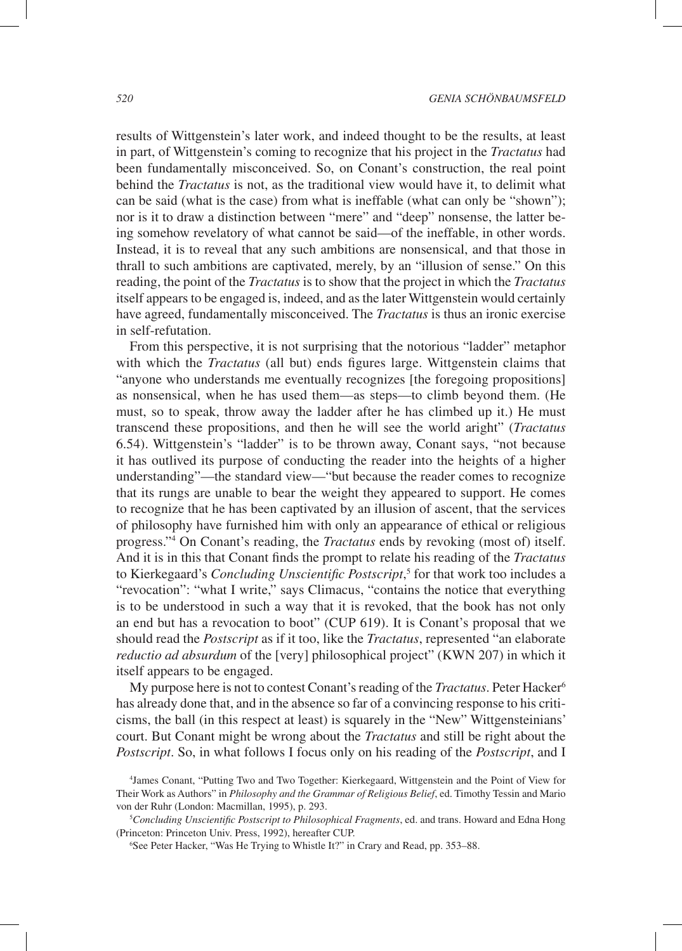results of Wittgenstein's later work, and indeed thought to be the results, at least in part, of Wittgenstein's coming to recognize that his project in the *Tractatus* had been fundamentally misconceived. So, on Conant's construction, the real point behind the *Tractatus* is not, as the traditional view would have it, to delimit what can be said (what is the case) from what is ineffable (what can only be "shown"); nor is it to draw a distinction between "mere" and "deep" nonsense, the latter being somehow revelatory of what cannot be said—of the ineffable, in other words. Instead, it is to reveal that any such ambitions are nonsensical, and that those in thrall to such ambitions are captivated, merely, by an "illusion of sense." On this reading, the point of the *Tractatus* is to show that the project in which the *Tractatus* itself appears to be engaged is, indeed, and as the later Wittgenstein would certainly have agreed, fundamentally misconceived. The *Tractatus* is thus an ironic exercise in self-refutation.

From this perspective, it is not surprising that the notorious "ladder" metaphor with which the *Tractatus* (all but) ends figures large. Wittgenstein claims that "anyone who understands me eventually recognizes [the foregoing propositions] as nonsensical, when he has used them—as steps—to climb beyond them. (He must, so to speak, throw away the ladder after he has climbed up it.) He must transcend these propositions, and then he will see the world aright" (*Tractatus* 6.54). Wittgenstein's "ladder" is to be thrown away, Conant says, "not because it has outlived its purpose of conducting the reader into the heights of a higher understanding"—the standard view—"but because the reader comes to recognize that its rungs are unable to bear the weight they appeared to support. He comes to recognize that he has been captivated by an illusion of ascent, that the services of philosophy have furnished him with only an appearance of ethical or religious progress."4 On Conant's reading, the *Tractatus* ends by revoking (most of) itself. And it is in this that Conant finds the prompt to relate his reading of the *Tractatus* to Kierkegaard's *Concluding Unscientific Postscript*, 5 for that work too includes a "revocation": "what I write," says Climacus, "contains the notice that everything is to be understood in such a way that it is revoked, that the book has not only an end but has a revocation to boot" (CUP 619). It is Conant's proposal that we should read the *Postscript* as if it too, like the *Tractatus*, represented "an elaborate *reductio ad absurdum* of the [very] philosophical project" (KWN 207) in which it itself appears to be engaged.

My purpose here is not to contest Conant's reading of the *Tractatus*. Peter Hacker6 has already done that, and in the absence so far of a convincing response to his criticisms, the ball (in this respect at least) is squarely in the "New" Wittgensteinians' court. But Conant might be wrong about the *Tractatus* and still be right about the *Postscript*. So, in what follows I focus only on his reading of the *Postscript*, and I

<sup>4</sup> James Conant, "Putting Two and Two Together: Kierkegaard, Wittgenstein and the Point of View for Their Work as Authors" in *Philosophy and the Grammar of Religious Belief*, ed. Timothy Tessin and Mario von der Ruhr (London: Macmillan, 1995), p. 293.

<sup>5</sup> *Concluding Unscientific Postscript to Philosophical Fragments*, ed. and trans. Howard and Edna Hong (Princeton: Princeton Univ. Press, 1992), hereafter CUP.

<sup>6</sup> See Peter Hacker, "Was He Trying to Whistle It?" in Crary and Read, pp. 353–88.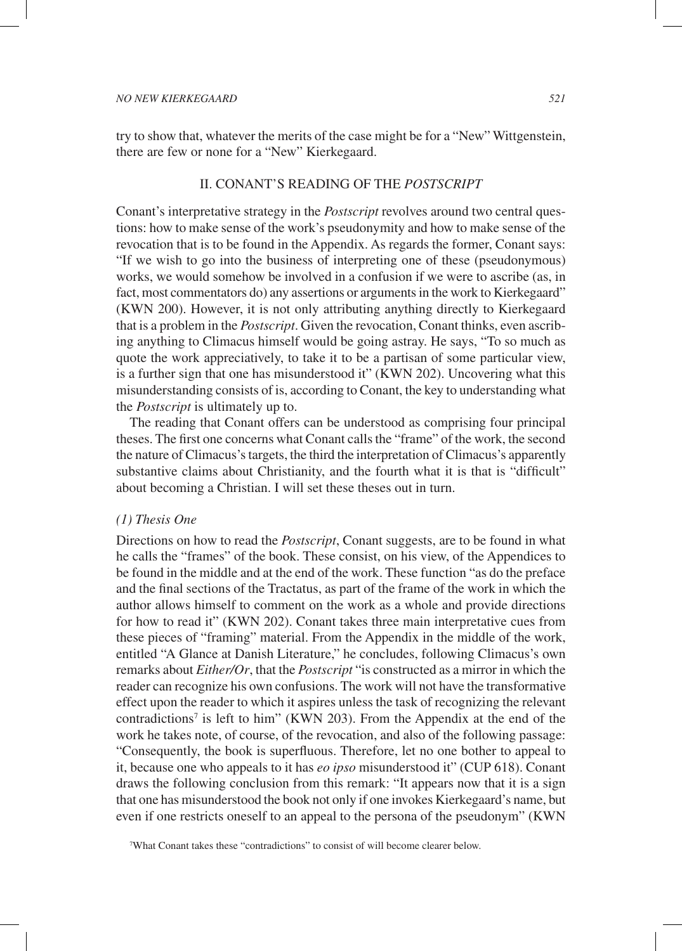try to show that, whatever the merits of the case might be for a "New" Wittgenstein, there are few or none for a "New" Kierkegaard.

#### II. CONANT'S READING OF THE *POSTSCRIPT*

Conant's interpretative strategy in the *Postscript* revolves around two central questions: how to make sense of the work's pseudonymity and how to make sense of the revocation that is to be found in the Appendix. As regards the former, Conant says: "If we wish to go into the business of interpreting one of these (pseudonymous) works, we would somehow be involved in a confusion if we were to ascribe (as, in fact, most commentators do) any assertions or arguments in the work to Kierkegaard" (KWN 200). However, it is not only attributing anything directly to Kierkegaard that is a problem in the *Postscript*. Given the revocation, Conant thinks, even ascribing anything to Climacus himself would be going astray. He says, "To so much as quote the work appreciatively, to take it to be a partisan of some particular view, is a further sign that one has misunderstood it" (KWN 202). Uncovering what this misunderstanding consists of is, according to Conant, the key to understanding what the *Postscript* is ultimately up to.

The reading that Conant offers can be understood as comprising four principal theses. The first one concerns what Conant calls the "frame" of the work, the second the nature of Climacus's targets, the third the interpretation of Climacus's apparently substantive claims about Christianity, and the fourth what it is that is "difficult" about becoming a Christian. I will set these theses out in turn.

# *(1) Thesis One*

Directions on how to read the *Postscript*, Conant suggests, are to be found in what he calls the "frames" of the book. These consist, on his view, of the Appendices to be found in the middle and at the end of the work. These function "as do the preface and the final sections of the Tractatus, as part of the frame of the work in which the author allows himself to comment on the work as a whole and provide directions for how to read it" (KWN 202). Conant takes three main interpretative cues from these pieces of "framing" material. From the Appendix in the middle of the work, entitled "A Glance at Danish Literature," he concludes, following Climacus's own remarks about *Either/Or*, that the *Postscript* "is constructed as a mirror in which the reader can recognize his own confusions. The work will not have the transformative effect upon the reader to which it aspires unless the task of recognizing the relevant contradictions<sup>7</sup> is left to him" (KWN 203). From the Appendix at the end of the work he takes note, of course, of the revocation, and also of the following passage: "Consequently, the book is superfluous. Therefore, let no one bother to appeal to it, because one who appeals to it has *eo ipso* misunderstood it" (CUP 618). Conant draws the following conclusion from this remark: "It appears now that it is a sign that one has misunderstood the book not only if one invokes Kierkegaard's name, but even if one restricts oneself to an appeal to the persona of the pseudonym" (KWN

<sup>7</sup> What Conant takes these "contradictions" to consist of will become clearer below.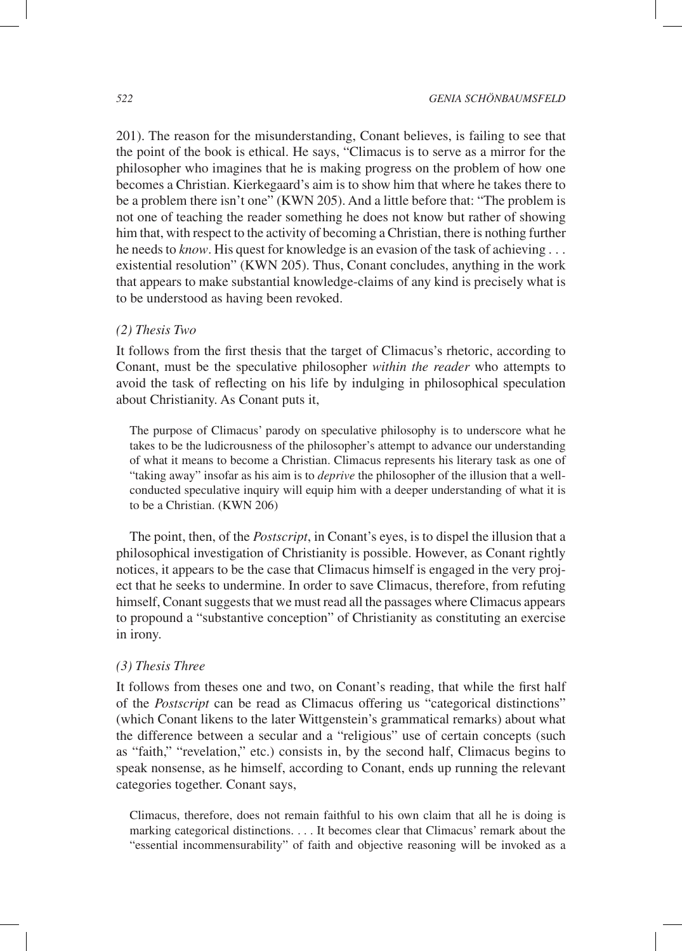201). The reason for the misunderstanding, Conant believes, is failing to see that the point of the book is ethical. He says, "Climacus is to serve as a mirror for the philosopher who imagines that he is making progress on the problem of how one becomes a Christian. Kierkegaard's aim is to show him that where he takes there to be a problem there isn't one" (KWN 205). And a little before that: "The problem is not one of teaching the reader something he does not know but rather of showing him that, with respect to the activity of becoming a Christian, there is nothing further he needs to *know*. His quest for knowledge is an evasion of the task of achieving . . . existential resolution" (KWN 205). Thus, Conant concludes, anything in the work that appears to make substantial knowledge-claims of any kind is precisely what is to be understood as having been revoked.

#### *(2) Thesis Two*

It follows from the first thesis that the target of Climacus's rhetoric, according to Conant, must be the speculative philosopher *within the reader* who attempts to avoid the task of reflecting on his life by indulging in philosophical speculation about Christianity. As Conant puts it,

The purpose of Climacus' parody on speculative philosophy is to underscore what he takes to be the ludicrousness of the philosopher's attempt to advance our understanding of what it means to become a Christian. Climacus represents his literary task as one of "taking away" insofar as his aim is to *deprive* the philosopher of the illusion that a wellconducted speculative inquiry will equip him with a deeper understanding of what it is to be a Christian. (KWN 206)

The point, then, of the *Postscript*, in Conant's eyes, is to dispel the illusion that a philosophical investigation of Christianity is possible. However, as Conant rightly notices, it appears to be the case that Climacus himself is engaged in the very project that he seeks to undermine. In order to save Climacus, therefore, from refuting himself, Conant suggests that we must read all the passages where Climacus appears to propound a "substantive conception" of Christianity as constituting an exercise in irony.

#### *(3) Thesis Three*

It follows from theses one and two, on Conant's reading, that while the first half of the *Postscript* can be read as Climacus offering us "categorical distinctions" (which Conant likens to the later Wittgenstein's grammatical remarks) about what the difference between a secular and a "religious" use of certain concepts (such as "faith," "revelation," etc.) consists in, by the second half, Climacus begins to speak nonsense, as he himself, according to Conant, ends up running the relevant categories together. Conant says,

Climacus, therefore, does not remain faithful to his own claim that all he is doing is marking categorical distinctions. . . . It becomes clear that Climacus' remark about the "essential incommensurability" of faith and objective reasoning will be invoked as a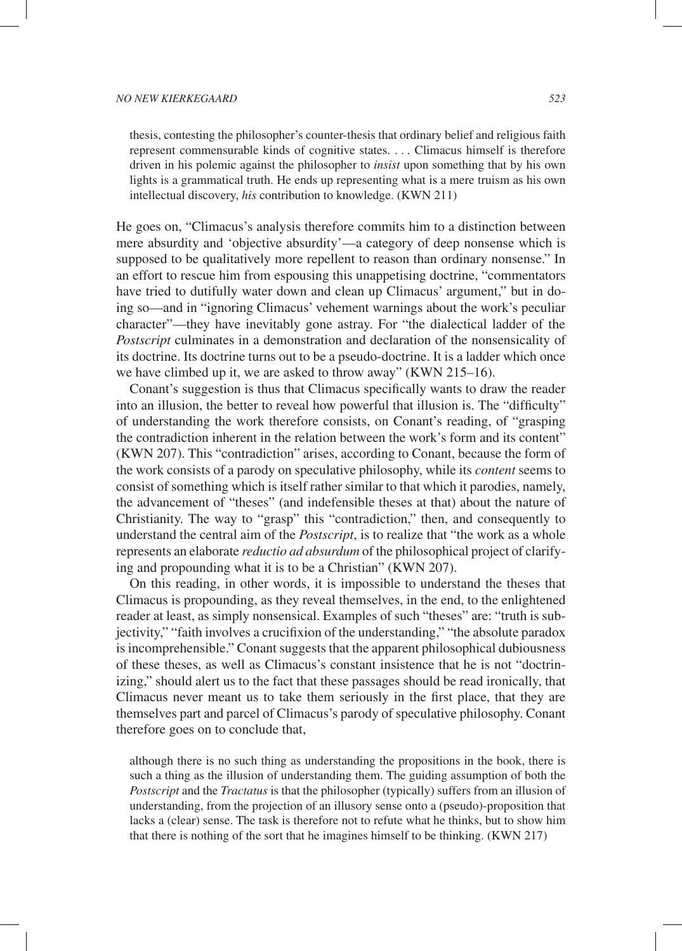thesis, contesting the philosopher's counter-thesis that ordinary belief and religious faith represent commensurable kinds of cognitive states. . . . Climacus himself is therefore driven in his polemic against the philosopher to *insist* upon something that by his own lights is a grammatical truth. He ends up representing what is a mere truism as his own intellectual discovery, *his* contribution to knowledge. (KWN 211)

He goes on, "Climacus's analysis therefore commits him to a distinction between mere absurdity and 'objective absurdity'—a category of deep nonsense which is supposed to be qualitatively more repellent to reason than ordinary nonsense." In an effort to rescue him from espousing this unappetising doctrine, "commentators have tried to dutifully water down and clean up Climacus' argument," but in doing so—and in "ignoring Climacus' vehement warnings about the work's peculiar character"—they have inevitably gone astray. For "the dialectical ladder of the *Postscript* culminates in a demonstration and declaration of the nonsensicality of its doctrine. Its doctrine turns out to be a pseudo-doctrine. It is a ladder which once we have climbed up it, we are asked to throw away" (KWN 215–16).

Conant's suggestion is thus that Climacus specifically wants to draw the reader into an illusion, the better to reveal how powerful that illusion is. The "difficulty" of understanding the work therefore consists, on Conant's reading, of "grasping the contradiction inherent in the relation between the work's form and its content" (KWN 207). This "contradiction" arises, according to Conant, because the form of the work consists of a parody on speculative philosophy, while its *content* seems to consist of something which is itself rather similar to that which it parodies, namely, the advancement of "theses" (and indefensible theses at that) about the nature of Christianity. The way to "grasp" this "contradiction," then, and consequently to understand the central aim of the *Postscript*, is to realize that "the work as a whole represents an elaborate *reductio ad absurdum* of the philosophical project of clarifying and propounding what it is to be a Christian" (KWN 207).

On this reading, in other words, it is impossible to understand the theses that Climacus is propounding, as they reveal themselves, in the end, to the enlightened reader at least, as simply nonsensical. Examples of such "theses" are: "truth is subjectivity," "faith involves a crucifixion of the understanding," "the absolute paradox is incomprehensible." Conant suggests that the apparent philosophical dubiousness of these theses, as well as Climacus's constant insistence that he is not "doctrinizing," should alert us to the fact that these passages should be read ironically, that Climacus never meant us to take them seriously in the first place, that they are themselves part and parcel of Climacus's parody of speculative philosophy. Conant therefore goes on to conclude that,

although there is no such thing as understanding the propositions in the book, there is such a thing as the illusion of understanding them. The guiding assumption of both the *Postscript* and the *Tractatus* is that the philosopher (typically) suffers from an illusion of understanding, from the projection of an illusory sense onto a (pseudo)-proposition that lacks a (clear) sense. The task is therefore not to refute what he thinks, but to show him that there is nothing of the sort that he imagines himself to be thinking. (KWN 217)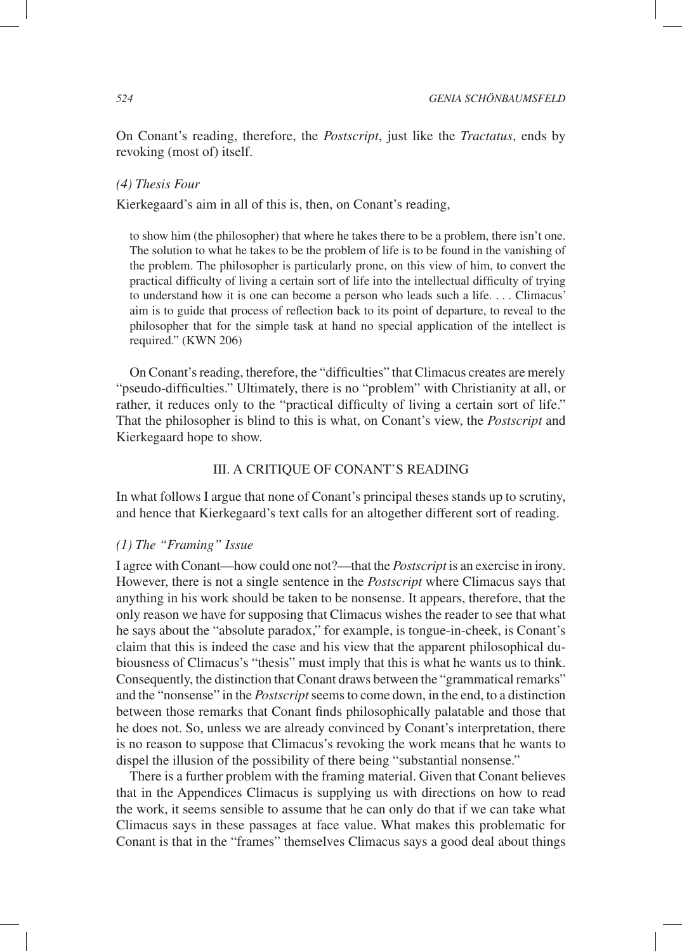On Conant's reading, therefore, the *Postscript*, just like the *Tractatus*, ends by revoking (most of) itself.

#### *(4) Thesis Four*

Kierkegaard's aim in all of this is, then, on Conant's reading,

to show him (the philosopher) that where he takes there to be a problem, there isn't one. The solution to what he takes to be the problem of life is to be found in the vanishing of the problem. The philosopher is particularly prone, on this view of him, to convert the practical difficulty of living a certain sort of life into the intellectual difficulty of trying to understand how it is one can become a person who leads such a life. . . . Climacus' aim is to guide that process of reflection back to its point of departure, to reveal to the philosopher that for the simple task at hand no special application of the intellect is required." (KWN 206)

On Conant's reading, therefore, the "difficulties" that Climacus creates are merely "pseudo-difficulties." Ultimately, there is no "problem" with Christianity at all, or rather, it reduces only to the "practical difficulty of living a certain sort of life." That the philosopher is blind to this is what, on Conant's view, the *Postscript* and Kierkegaard hope to show.

# III. A CRITIQUE OF CONANT'S READING

In what follows I argue that none of Conant's principal theses stands up to scrutiny, and hence that Kierkegaard's text calls for an altogether different sort of reading.

#### *(1) The "Framing" Issue*

I agree with Conant—how could one not?—that the *Postscript* is an exercise in irony. However, there is not a single sentence in the *Postscript* where Climacus says that anything in his work should be taken to be nonsense. It appears, therefore, that the only reason we have for supposing that Climacus wishes the reader to see that what he says about the "absolute paradox," for example, is tongue-in-cheek, is Conant's claim that this is indeed the case and his view that the apparent philosophical dubiousness of Climacus's "thesis" must imply that this is what he wants us to think. Consequently, the distinction that Conant draws between the "grammatical remarks" and the "nonsense" in the *Postscript* seems to come down, in the end, to a distinction between those remarks that Conant finds philosophically palatable and those that he does not. So, unless we are already convinced by Conant's interpretation, there is no reason to suppose that Climacus's revoking the work means that he wants to dispel the illusion of the possibility of there being "substantial nonsense."

There is a further problem with the framing material. Given that Conant believes that in the Appendices Climacus is supplying us with directions on how to read the work, it seems sensible to assume that he can only do that if we can take what Climacus says in these passages at face value. What makes this problematic for Conant is that in the "frames" themselves Climacus says a good deal about things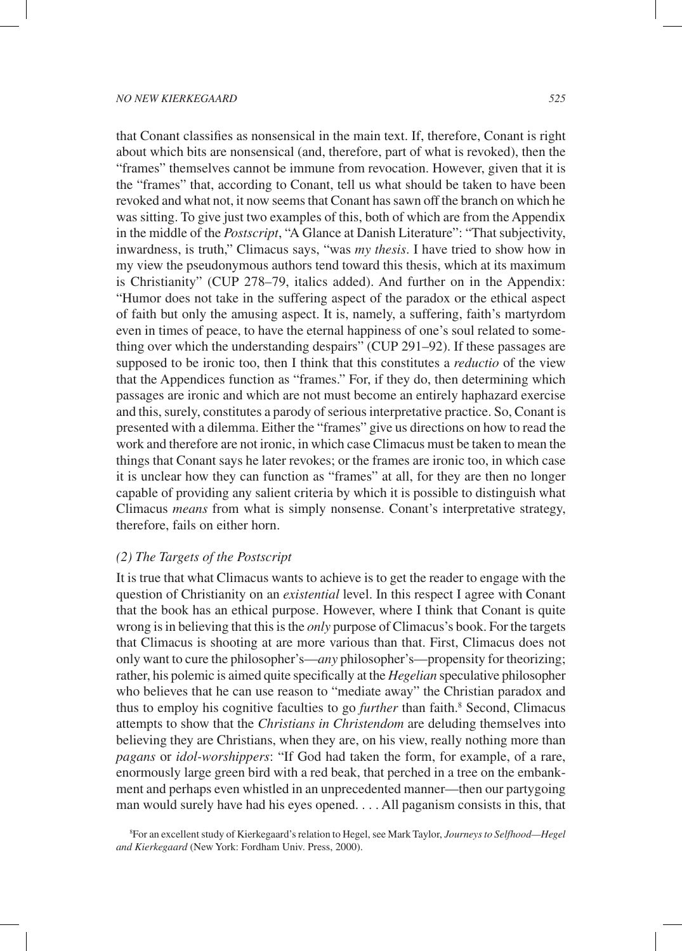that Conant classifies as nonsensical in the main text. If, therefore, Conant is right about which bits are nonsensical (and, therefore, part of what is revoked), then the "frames" themselves cannot be immune from revocation. However, given that it is the "frames" that, according to Conant, tell us what should be taken to have been revoked and what not, it now seems that Conant has sawn off the branch on which he was sitting. To give just two examples of this, both of which are from the Appendix in the middle of the *Postscript*, "A Glance at Danish Literature": "That subjectivity, inwardness, is truth," Climacus says, "was *my thesis*. I have tried to show how in my view the pseudonymous authors tend toward this thesis, which at its maximum is Christianity" (CUP 278–79, italics added). And further on in the Appendix: "Humor does not take in the suffering aspect of the paradox or the ethical aspect of faith but only the amusing aspect. It is, namely, a suffering, faith's martyrdom even in times of peace, to have the eternal happiness of one's soul related to something over which the understanding despairs" (CUP 291–92). If these passages are supposed to be ironic too, then I think that this constitutes a *reductio* of the view that the Appendices function as "frames." For, if they do, then determining which passages are ironic and which are not must become an entirely haphazard exercise and this, surely, constitutes a parody of serious interpretative practice. So, Conant is presented with a dilemma. Either the "frames" give us directions on how to read the work and therefore are not ironic, in which case Climacus must be taken to mean the things that Conant says he later revokes; or the frames are ironic too, in which case it is unclear how they can function as "frames" at all, for they are then no longer capable of providing any salient criteria by which it is possible to distinguish what Climacus *means* from what is simply nonsense. Conant's interpretative strategy, therefore, fails on either horn.

#### *(2) The Targets of the Postscript*

It is true that what Climacus wants to achieve is to get the reader to engage with the question of Christianity on an *existential* level. In this respect I agree with Conant that the book has an ethical purpose. However, where I think that Conant is quite wrong is in believing that this is the *only* purpose of Climacus's book. For the targets that Climacus is shooting at are more various than that. First, Climacus does not only want to cure the philosopher's—*any* philosopher's—propensity for theorizing; rather, his polemic is aimed quite specifically at the *Hegelian* speculative philosopher who believes that he can use reason to "mediate away" the Christian paradox and thus to employ his cognitive faculties to go *further* than faith.<sup>8</sup> Second, Climacus attempts to show that the *Christians in Christendom* are deluding themselves into believing they are Christians, when they are, on his view, really nothing more than *pagans* or *idol-worshippers*: "If God had taken the form, for example, of a rare, enormously large green bird with a red beak, that perched in a tree on the embankment and perhaps even whistled in an unprecedented manner—then our partygoing man would surely have had his eyes opened. . . . All paganism consists in this, that

8 For an excellent study of Kierkegaard's relation to Hegel, see Mark Taylor, *Journeys to Selfhood—Hegel and Kierkegaard* (New York: Fordham Univ. Press, 2000).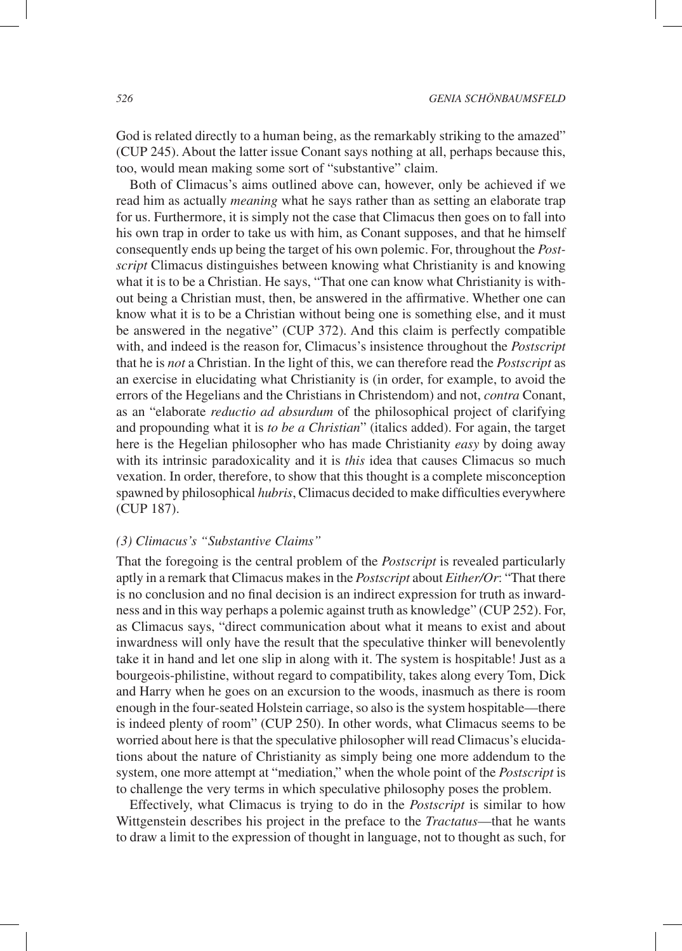God is related directly to a human being, as the remarkably striking to the amazed" (CUP 245). About the latter issue Conant says nothing at all, perhaps because this, too, would mean making some sort of "substantive" claim.

Both of Climacus's aims outlined above can, however, only be achieved if we read him as actually *meaning* what he says rather than as setting an elaborate trap for us. Furthermore, it is simply not the case that Climacus then goes on to fall into his own trap in order to take us with him, as Conant supposes, and that he himself consequently ends up being the target of his own polemic. For, throughout the *Postscript* Climacus distinguishes between knowing what Christianity is and knowing what it is to be a Christian. He says, "That one can know what Christianity is without being a Christian must, then, be answered in the affirmative. Whether one can know what it is to be a Christian without being one is something else, and it must be answered in the negative" (CUP 372). And this claim is perfectly compatible with, and indeed is the reason for, Climacus's insistence throughout the *Postscript* that he is *not* a Christian. In the light of this, we can therefore read the *Postscript* as an exercise in elucidating what Christianity is (in order, for example, to avoid the errors of the Hegelians and the Christians in Christendom) and not, *contra* Conant, as an "elaborate *reductio ad absurdum* of the philosophical project of clarifying and propounding what it is *to be a Christian*" (italics added). For again, the target here is the Hegelian philosopher who has made Christianity *easy* by doing away with its intrinsic paradoxicality and it is *this* idea that causes Climacus so much vexation. In order, therefore, to show that this thought is a complete misconception spawned by philosophical *hubris*, Climacus decided to make difficulties everywhere (CUP 187).

# *(3) Climacus's "Substantive Claims"*

That the foregoing is the central problem of the *Postscript* is revealed particularly aptly in a remark that Climacus makes in the *Postscript* about *Either/Or*: "That there is no conclusion and no final decision is an indirect expression for truth as inwardness and in this way perhaps a polemic against truth as knowledge" (CUP 252). For, as Climacus says, "direct communication about what it means to exist and about inwardness will only have the result that the speculative thinker will benevolently take it in hand and let one slip in along with it. The system is hospitable! Just as a bourgeois-philistine, without regard to compatibility, takes along every Tom, Dick and Harry when he goes on an excursion to the woods, inasmuch as there is room enough in the four-seated Holstein carriage, so also is the system hospitable—there is indeed plenty of room" (CUP 250). In other words, what Climacus seems to be worried about here is that the speculative philosopher will read Climacus's elucidations about the nature of Christianity as simply being one more addendum to the system, one more attempt at "mediation," when the whole point of the *Postscript* is to challenge the very terms in which speculative philosophy poses the problem.

Effectively, what Climacus is trying to do in the *Postscript* is similar to how Wittgenstein describes his project in the preface to the *Tractatus*—that he wants to draw a limit to the expression of thought in language, not to thought as such, for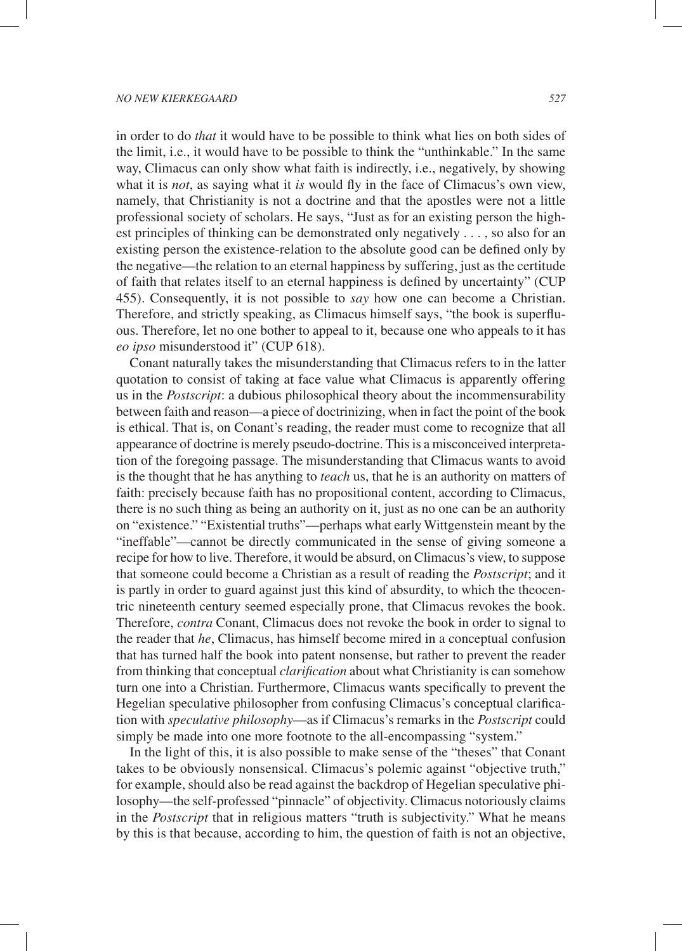in order to do *that* it would have to be possible to think what lies on both sides of the limit, i.e., it would have to be possible to think the "unthinkable." In the same way, Climacus can only show what faith is indirectly, i.e., negatively, by showing what it is *not*, as saying what it *is* would fly in the face of Climacus's own view, namely, that Christianity is not a doctrine and that the apostles were not a little professional society of scholars. He says, "Just as for an existing person the highest principles of thinking can be demonstrated only negatively . . . , so also for an existing person the existence-relation to the absolute good can be defined only by the negative—the relation to an eternal happiness by suffering, just as the certitude of faith that relates itself to an eternal happiness is defined by uncertainty" (CUP 455). Consequently, it is not possible to *say* how one can become a Christian. Therefore, and strictly speaking, as Climacus himself says, "the book is superfluous. Therefore, let no one bother to appeal to it, because one who appeals to it has *eo ipso* misunderstood it" (CUP 618).

Conant naturally takes the misunderstanding that Climacus refers to in the latter quotation to consist of taking at face value what Climacus is apparently offering us in the *Postscript*: a dubious philosophical theory about the incommensurability between faith and reason—a piece of doctrinizing, when in fact the point of the book is ethical. That is, on Conant's reading, the reader must come to recognize that all appearance of doctrine is merely pseudo-doctrine. This is a misconceived interpretation of the foregoing passage. The misunderstanding that Climacus wants to avoid is the thought that he has anything to *teach* us, that he is an authority on matters of faith: precisely because faith has no propositional content, according to Climacus, there is no such thing as being an authority on it, just as no one can be an authority on "existence." "Existential truths"—perhaps what early Wittgenstein meant by the "ineffable"—cannot be directly communicated in the sense of giving someone a recipe for how to live. Therefore, it would be absurd, on Climacus's view, to suppose that someone could become a Christian as a result of reading the *Postscript*; and it is partly in order to guard against just this kind of absurdity, to which the theocentric nineteenth century seemed especially prone, that Climacus revokes the book. Therefore, *contra* Conant, Climacus does not revoke the book in order to signal to the reader that *he*, Climacus, has himself become mired in a conceptual confusion that has turned half the book into patent nonsense, but rather to prevent the reader from thinking that conceptual *clarification* about what Christianity is can somehow turn one into a Christian. Furthermore, Climacus wants specifically to prevent the Hegelian speculative philosopher from confusing Climacus's conceptual clarification with *speculative philosophy*—as if Climacus's remarks in the *Postscript* could simply be made into one more footnote to the all-encompassing "system."

In the light of this, it is also possible to make sense of the "theses" that Conant takes to be obviously nonsensical. Climacus's polemic against "objective truth," for example, should also be read against the backdrop of Hegelian speculative philosophy—the self-professed "pinnacle" of objectivity. Climacus notoriously claims in the *Postscript* that in religious matters "truth is subjectivity." What he means by this is that because, according to him, the question of faith is not an objective,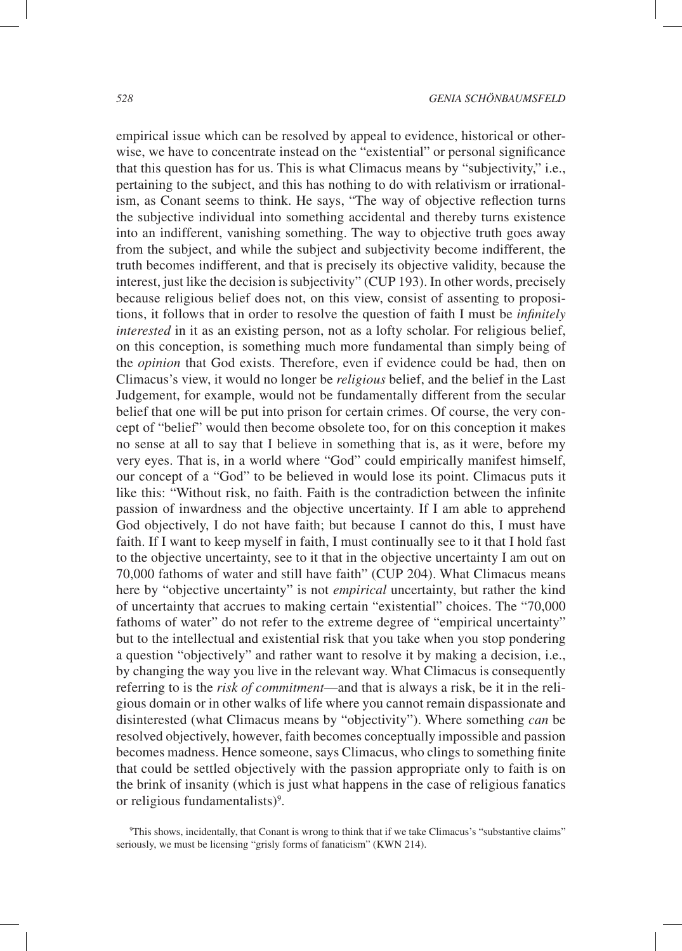empirical issue which can be resolved by appeal to evidence, historical or otherwise, we have to concentrate instead on the "existential" or personal significance that this question has for us. This is what Climacus means by "subjectivity," i.e., pertaining to the subject, and this has nothing to do with relativism or irrationalism, as Conant seems to think. He says, "The way of objective reflection turns the subjective individual into something accidental and thereby turns existence into an indifferent, vanishing something. The way to objective truth goes away from the subject, and while the subject and subjectivity become indifferent, the truth becomes indifferent, and that is precisely its objective validity, because the interest, just like the decision is subjectivity" (CUP 193). In other words, precisely because religious belief does not, on this view, consist of assenting to propositions, it follows that in order to resolve the question of faith I must be *infinitely interested* in it as an existing person, not as a lofty scholar. For religious belief, on this conception, is something much more fundamental than simply being of the *opinion* that God exists. Therefore, even if evidence could be had, then on Climacus's view, it would no longer be *religious* belief, and the belief in the Last Judgement, for example, would not be fundamentally different from the secular belief that one will be put into prison for certain crimes. Of course, the very concept of "belief" would then become obsolete too, for on this conception it makes no sense at all to say that I believe in something that is, as it were, before my very eyes. That is, in a world where "God" could empirically manifest himself, our concept of a "God" to be believed in would lose its point. Climacus puts it like this: "Without risk, no faith. Faith is the contradiction between the infinite passion of inwardness and the objective uncertainty. If I am able to apprehend God objectively, I do not have faith; but because I cannot do this, I must have faith. If I want to keep myself in faith, I must continually see to it that I hold fast to the objective uncertainty, see to it that in the objective uncertainty I am out on 70,000 fathoms of water and still have faith" (CUP 204). What Climacus means here by "objective uncertainty" is not *empirical* uncertainty, but rather the kind of uncertainty that accrues to making certain "existential" choices. The "70,000 fathoms of water" do not refer to the extreme degree of "empirical uncertainty" but to the intellectual and existential risk that you take when you stop pondering a question "objectively" and rather want to resolve it by making a decision, i.e., by changing the way you live in the relevant way. What Climacus is consequently referring to is the *risk of commitment*—and that is always a risk, be it in the religious domain or in other walks of life where you cannot remain dispassionate and disinterested (what Climacus means by "objectivity"). Where something *can* be resolved objectively, however, faith becomes conceptually impossible and passion becomes madness. Hence someone, says Climacus, who clings to something finite that could be settled objectively with the passion appropriate only to faith is on the brink of insanity (which is just what happens in the case of religious fanatics or religious fundamentalists)<sup>9</sup>.

9 This shows, incidentally, that Conant is wrong to think that if we take Climacus's "substantive claims" seriously, we must be licensing "grisly forms of fanaticism" (KWN 214).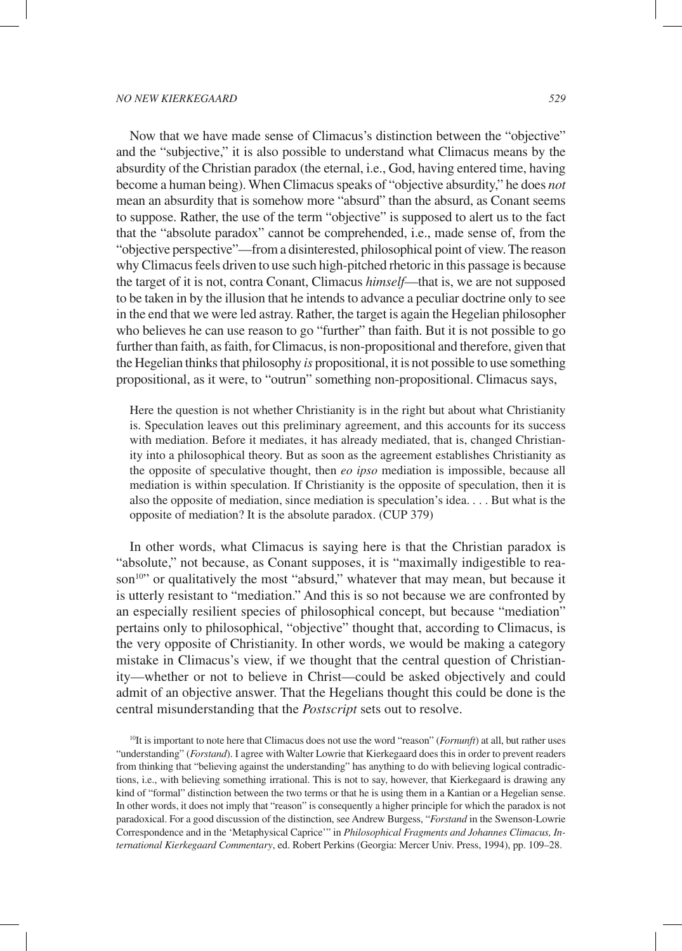Now that we have made sense of Climacus's distinction between the "objective" and the "subjective," it is also possible to understand what Climacus means by the absurdity of the Christian paradox (the eternal, i.e., God, having entered time, having become a human being). When Climacus speaks of "objective absurdity," he does *not* mean an absurdity that is somehow more "absurd" than the absurd, as Conant seems to suppose. Rather, the use of the term "objective" is supposed to alert us to the fact that the "absolute paradox" cannot be comprehended, i.e., made sense of, from the "objective perspective"—from a disinterested, philosophical point of view. The reason why Climacus feels driven to use such high-pitched rhetoric in this passage is because the target of it is not, contra Conant, Climacus *himself*—that is, we are not supposed to be taken in by the illusion that he intends to advance a peculiar doctrine only to see in the end that we were led astray. Rather, the target is again the Hegelian philosopher who believes he can use reason to go "further" than faith. But it is not possible to go further than faith, as faith, for Climacus, is non-propositional and therefore, given that the Hegelian thinks that philosophy *is* propositional, it is not possible to use something propositional, as it were, to "outrun" something non-propositional. Climacus says,

Here the question is not whether Christianity is in the right but about what Christianity is. Speculation leaves out this preliminary agreement, and this accounts for its success with mediation. Before it mediates, it has already mediated, that is, changed Christianity into a philosophical theory. But as soon as the agreement establishes Christianity as the opposite of speculative thought, then *eo ipso* mediation is impossible, because all mediation is within speculation. If Christianity is the opposite of speculation, then it is also the opposite of mediation, since mediation is speculation's idea. . . . But what is the opposite of mediation? It is the absolute paradox. (CUP 379)

In other words, what Climacus is saying here is that the Christian paradox is "absolute," not because, as Conant supposes, it is "maximally indigestible to reason<sup>10"</sup> or qualitatively the most "absurd," whatever that may mean, but because it is utterly resistant to "mediation." And this is so not because we are confronted by an especially resilient species of philosophical concept, but because "mediation" pertains only to philosophical, "objective" thought that, according to Climacus, is the very opposite of Christianity. In other words, we would be making a category mistake in Climacus's view, if we thought that the central question of Christianity—whether or not to believe in Christ—could be asked objectively and could admit of an objective answer. That the Hegelians thought this could be done is the central misunderstanding that the *Postscript* sets out to resolve.

10It is important to note here that Climacus does not use the word "reason" (*Fornunft*) at all, but rather uses "understanding" (*Forstand*). I agree with Walter Lowrie that Kierkegaard does this in order to prevent readers from thinking that "believing against the understanding" has anything to do with believing logical contradictions, i.e., with believing something irrational. This is not to say, however, that Kierkegaard is drawing any kind of "formal" distinction between the two terms or that he is using them in a Kantian or a Hegelian sense. In other words, it does not imply that "reason" is consequently a higher principle for which the paradox is not paradoxical. For a good discussion of the distinction, see Andrew Burgess, "*Forstand* in the Swenson-Lowrie Correspondence and in the 'Metaphysical Caprice'" in *Philosophical Fragments and Johannes Climacus, International Kierkegaard Commentary*, ed. Robert Perkins (Georgia: Mercer Univ. Press, 1994), pp. 109–28.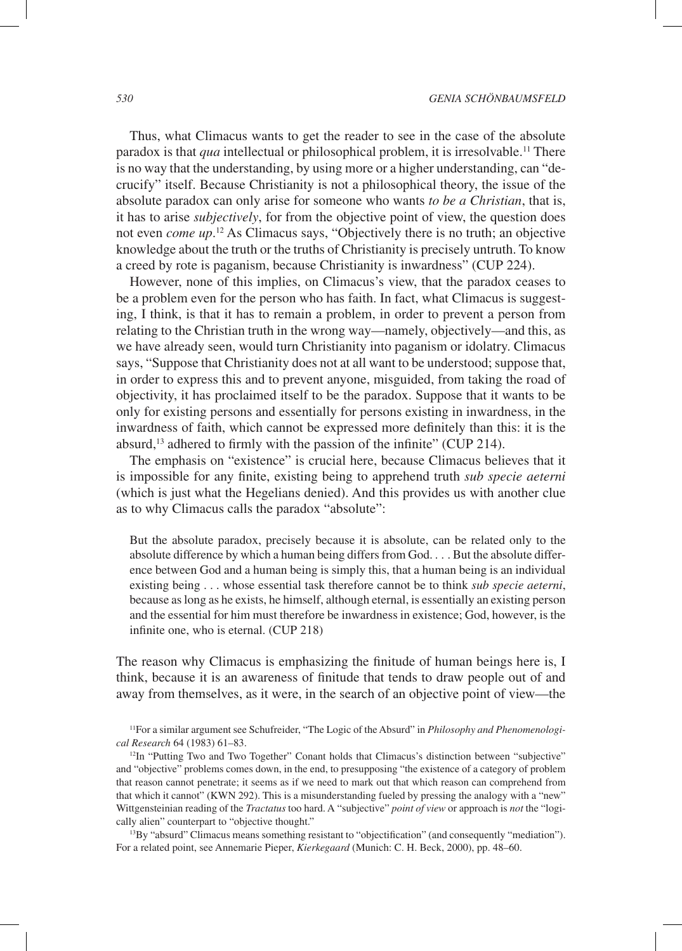Thus, what Climacus wants to get the reader to see in the case of the absolute paradox is that *qua* intellectual or philosophical problem, it is irresolvable.11 There is no way that the understanding, by using more or a higher understanding, can "decrucify" itself. Because Christianity is not a philosophical theory, the issue of the absolute paradox can only arise for someone who wants *to be a Christian*, that is, it has to arise *subjectively*, for from the objective point of view, the question does not even *come up*. 12 As Climacus says, "Objectively there is no truth; an objective knowledge about the truth or the truths of Christianity is precisely untruth. To know a creed by rote is paganism, because Christianity is inwardness" (CUP 224).

However, none of this implies, on Climacus's view, that the paradox ceases to be a problem even for the person who has faith. In fact, what Climacus is suggesting, I think, is that it has to remain a problem, in order to prevent a person from relating to the Christian truth in the wrong way—namely, objectively—and this, as we have already seen, would turn Christianity into paganism or idolatry. Climacus says, "Suppose that Christianity does not at all want to be understood; suppose that, in order to express this and to prevent anyone, misguided, from taking the road of objectivity, it has proclaimed itself to be the paradox. Suppose that it wants to be only for existing persons and essentially for persons existing in inwardness, in the inwardness of faith, which cannot be expressed more definitely than this: it is the absurd,13 adhered to firmly with the passion of the infinite" (CUP 214).

The emphasis on "existence" is crucial here, because Climacus believes that it is impossible for any finite, existing being to apprehend truth *sub specie aeterni* (which is just what the Hegelians denied). And this provides us with another clue as to why Climacus calls the paradox "absolute":

But the absolute paradox, precisely because it is absolute, can be related only to the absolute difference by which a human being differs from God. . . . But the absolute difference between God and a human being is simply this, that a human being is an individual existing being . . . whose essential task therefore cannot be to think *sub specie aeterni*, because as long as he exists, he himself, although eternal, is essentially an existing person and the essential for him must therefore be inwardness in existence; God, however, is the infinite one, who is eternal. (CUP 218)

The reason why Climacus is emphasizing the finitude of human beings here is, I think, because it is an awareness of finitude that tends to draw people out of and away from themselves, as it were, in the search of an objective point of view—the

<sup>11</sup>For a similar argument see Schufreider, "The Logic of the Absurd" in *Philosophy and Phenomenological Research* 64 (1983) 61–83.

<sup>&</sup>lt;sup>12</sup>In "Putting Two and Two Together" Conant holds that Climacus's distinction between "subjective" and "objective" problems comes down, in the end, to presupposing "the existence of a category of problem that reason cannot penetrate; it seems as if we need to mark out that which reason can comprehend from that which it cannot" (KWN 292). This is a misunderstanding fueled by pressing the analogy with a "new" Wittgensteinian reading of the *Tractatus* too hard. A "subjective" *point of view* or approach is *not* the "logically alien" counterpart to "objective thought."

<sup>&</sup>lt;sup>13</sup>By "absurd" Climacus means something resistant to "objectification" (and consequently "mediation"). For a related point, see Annemarie Pieper, *Kierkegaard* (Munich: C. H. Beck, 2000), pp. 48–60.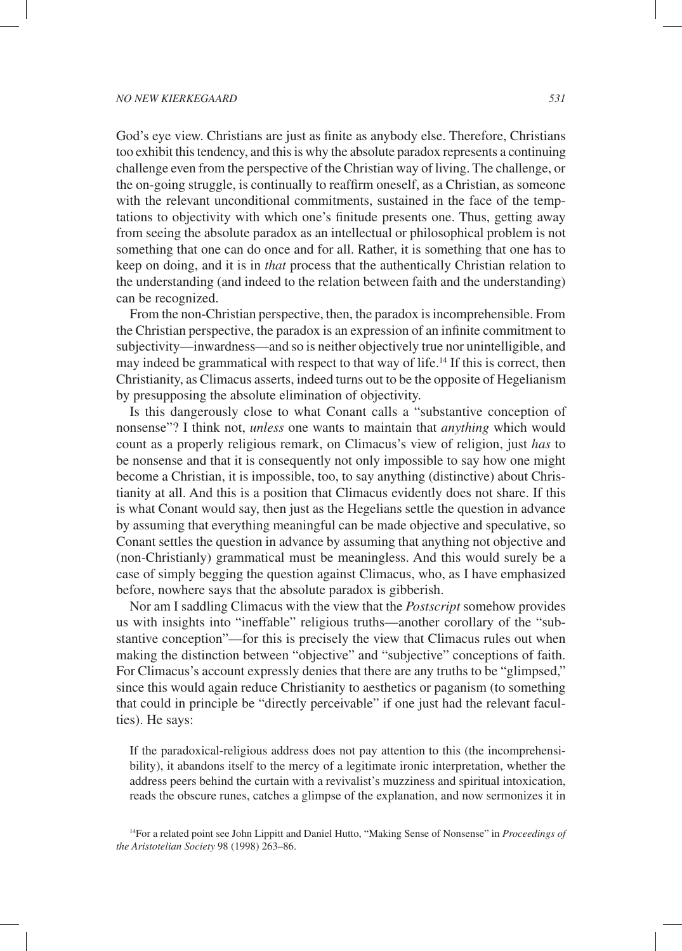God's eye view. Christians are just as finite as anybody else. Therefore, Christians too exhibit this tendency, and this is why the absolute paradox represents a continuing challenge even from the perspective of the Christian way of living. The challenge, or the on-going struggle, is continually to reaffirm oneself, as a Christian, as someone with the relevant unconditional commitments, sustained in the face of the temptations to objectivity with which one's finitude presents one. Thus, getting away from seeing the absolute paradox as an intellectual or philosophical problem is not something that one can do once and for all. Rather, it is something that one has to keep on doing, and it is in *that* process that the authentically Christian relation to the understanding (and indeed to the relation between faith and the understanding) can be recognized.

From the non-Christian perspective, then, the paradox is incomprehensible. From the Christian perspective, the paradox is an expression of an infinite commitment to subjectivity—inwardness—and so is neither objectively true nor unintelligible, and may indeed be grammatical with respect to that way of life.<sup>14</sup> If this is correct, then Christianity, as Climacus asserts, indeed turns out to be the opposite of Hegelianism by presupposing the absolute elimination of objectivity.

Is this dangerously close to what Conant calls a "substantive conception of nonsense"? I think not, *unless* one wants to maintain that *anything* which would count as a properly religious remark, on Climacus's view of religion, just *has* to be nonsense and that it is consequently not only impossible to say how one might become a Christian, it is impossible, too, to say anything (distinctive) about Christianity at all. And this is a position that Climacus evidently does not share. If this is what Conant would say, then just as the Hegelians settle the question in advance by assuming that everything meaningful can be made objective and speculative, so Conant settles the question in advance by assuming that anything not objective and (non-Christianly) grammatical must be meaningless. And this would surely be a case of simply begging the question against Climacus, who, as I have emphasized before, nowhere says that the absolute paradox is gibberish.

Nor am I saddling Climacus with the view that the *Postscript* somehow provides us with insights into "ineffable" religious truths—another corollary of the "substantive conception"—for this is precisely the view that Climacus rules out when making the distinction between "objective" and "subjective" conceptions of faith. For Climacus's account expressly denies that there are any truths to be "glimpsed," since this would again reduce Christianity to aesthetics or paganism (to something that could in principle be "directly perceivable" if one just had the relevant faculties). He says:

If the paradoxical-religious address does not pay attention to this (the incomprehensibility), it abandons itself to the mercy of a legitimate ironic interpretation, whether the address peers behind the curtain with a revivalist's muzziness and spiritual intoxication, reads the obscure runes, catches a glimpse of the explanation, and now sermonizes it in

14For a related point see John Lippitt and Daniel Hutto, "Making Sense of Nonsense" in *Proceedings of the Aristotelian Society* 98 (1998) 263–86.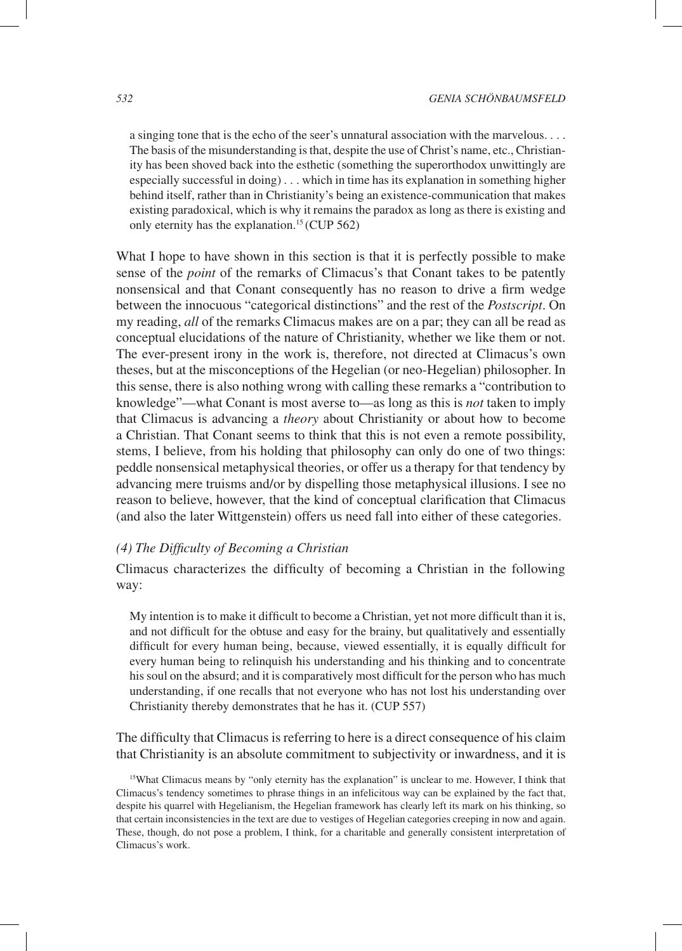a singing tone that is the echo of the seer's unnatural association with the marvelous. . . . The basis of the misunderstanding is that, despite the use of Christ's name, etc., Christianity has been shoved back into the esthetic (something the superorthodox unwittingly are especially successful in doing) . . . which in time has its explanation in something higher behind itself, rather than in Christianity's being an existence-communication that makes existing paradoxical, which is why it remains the paradox as long as there is existing and only eternity has the explanation.<sup>15</sup> (CUP 562)

What I hope to have shown in this section is that it is perfectly possible to make sense of the *point* of the remarks of Climacus's that Conant takes to be patently nonsensical and that Conant consequently has no reason to drive a firm wedge between the innocuous "categorical distinctions" and the rest of the *Postscript*. On my reading, *all* of the remarks Climacus makes are on a par; they can all be read as conceptual elucidations of the nature of Christianity, whether we like them or not. The ever-present irony in the work is, therefore, not directed at Climacus's own theses, but at the misconceptions of the Hegelian (or neo-Hegelian) philosopher. In this sense, there is also nothing wrong with calling these remarks a "contribution to knowledge"—what Conant is most averse to—as long as this is *not* taken to imply that Climacus is advancing a *theory* about Christianity or about how to become a Christian. That Conant seems to think that this is not even a remote possibility, stems, I believe, from his holding that philosophy can only do one of two things: peddle nonsensical metaphysical theories, or offer us a therapy for that tendency by advancing mere truisms and/or by dispelling those metaphysical illusions. I see no reason to believe, however, that the kind of conceptual clarification that Climacus (and also the later Wittgenstein) offers us need fall into either of these categories.

### *(4) The Difficulty of Becoming a Christian*

Climacus characterizes the difficulty of becoming a Christian in the following way:

My intention is to make it difficult to become a Christian, yet not more difficult than it is, and not difficult for the obtuse and easy for the brainy, but qualitatively and essentially difficult for every human being, because, viewed essentially, it is equally difficult for every human being to relinquish his understanding and his thinking and to concentrate his soul on the absurd; and it is comparatively most difficult for the person who has much understanding, if one recalls that not everyone who has not lost his understanding over Christianity thereby demonstrates that he has it. (CUP 557)

# The difficulty that Climacus is referring to here is a direct consequence of his claim that Christianity is an absolute commitment to subjectivity or inwardness, and it is

<sup>&</sup>lt;sup>15</sup>What Climacus means by "only eternity has the explanation" is unclear to me. However, I think that Climacus's tendency sometimes to phrase things in an infelicitous way can be explained by the fact that, despite his quarrel with Hegelianism, the Hegelian framework has clearly left its mark on his thinking, so that certain inconsistencies in the text are due to vestiges of Hegelian categories creeping in now and again. These, though, do not pose a problem, I think, for a charitable and generally consistent interpretation of Climacus's work.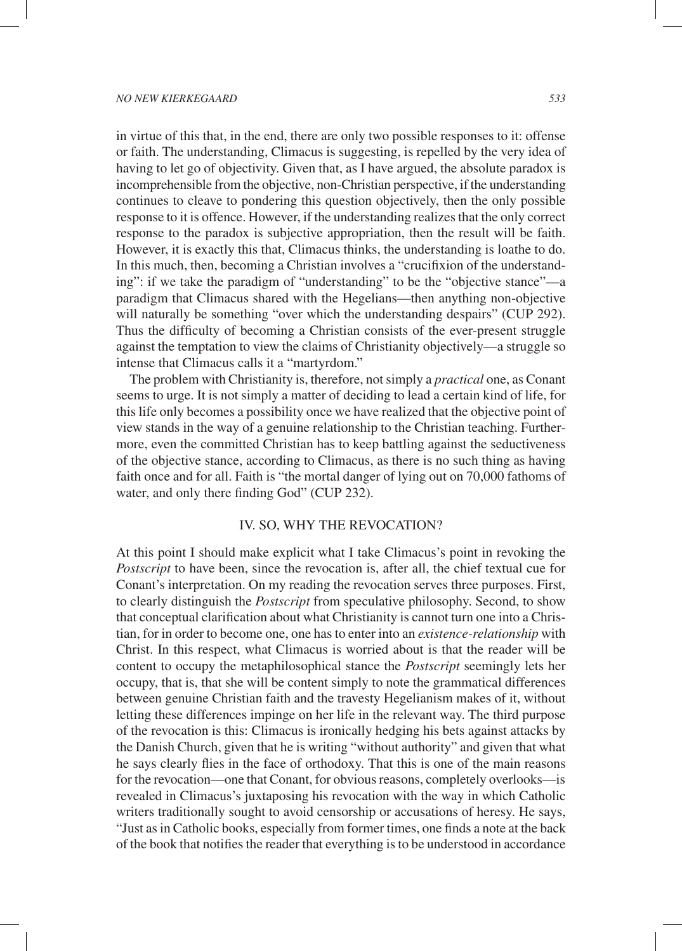in virtue of this that, in the end, there are only two possible responses to it: offense or faith. The understanding, Climacus is suggesting, is repelled by the very idea of having to let go of objectivity. Given that, as I have argued, the absolute paradox is incomprehensible from the objective, non-Christian perspective, if the understanding continues to cleave to pondering this question objectively, then the only possible response to it is offence. However, if the understanding realizes that the only correct response to the paradox is subjective appropriation, then the result will be faith. However, it is exactly this that, Climacus thinks, the understanding is loathe to do. In this much, then, becoming a Christian involves a "crucifixion of the understanding": if we take the paradigm of "understanding" to be the "objective stance"—a paradigm that Climacus shared with the Hegelians—then anything non-objective will naturally be something "over which the understanding despairs" (CUP 292). Thus the difficulty of becoming a Christian consists of the ever-present struggle against the temptation to view the claims of Christianity objectively—a struggle so intense that Climacus calls it a "martyrdom."

The problem with Christianity is, therefore, not simply a *practical* one, as Conant seems to urge. It is not simply a matter of deciding to lead a certain kind of life, for this life only becomes a possibility once we have realized that the objective point of view stands in the way of a genuine relationship to the Christian teaching. Furthermore, even the committed Christian has to keep battling against the seductiveness of the objective stance, according to Climacus, as there is no such thing as having faith once and for all. Faith is "the mortal danger of lying out on 70,000 fathoms of water, and only there finding God" (CUP 232).

#### IV. SO, WHY THE REVOCATION?

At this point I should make explicit what I take Climacus's point in revoking the *Postscript* to have been, since the revocation is, after all, the chief textual cue for Conant's interpretation. On my reading the revocation serves three purposes. First, to clearly distinguish the *Postscript* from speculative philosophy. Second, to show that conceptual clarification about what Christianity is cannot turn one into a Christian, for in order to become one, one has to enter into an *existence-relationship* with Christ. In this respect, what Climacus is worried about is that the reader will be content to occupy the metaphilosophical stance the *Postscript* seemingly lets her occupy, that is, that she will be content simply to note the grammatical differences between genuine Christian faith and the travesty Hegelianism makes of it, without letting these differences impinge on her life in the relevant way. The third purpose of the revocation is this: Climacus is ironically hedging his bets against attacks by the Danish Church, given that he is writing "without authority" and given that what he says clearly flies in the face of orthodoxy. That this is one of the main reasons for the revocation—one that Conant, for obvious reasons, completely overlooks—is revealed in Climacus's juxtaposing his revocation with the way in which Catholic writers traditionally sought to avoid censorship or accusations of heresy. He says, "Just as in Catholic books, especially from former times, one finds a note at the back of the book that notifies the reader that everything is to be understood in accordance